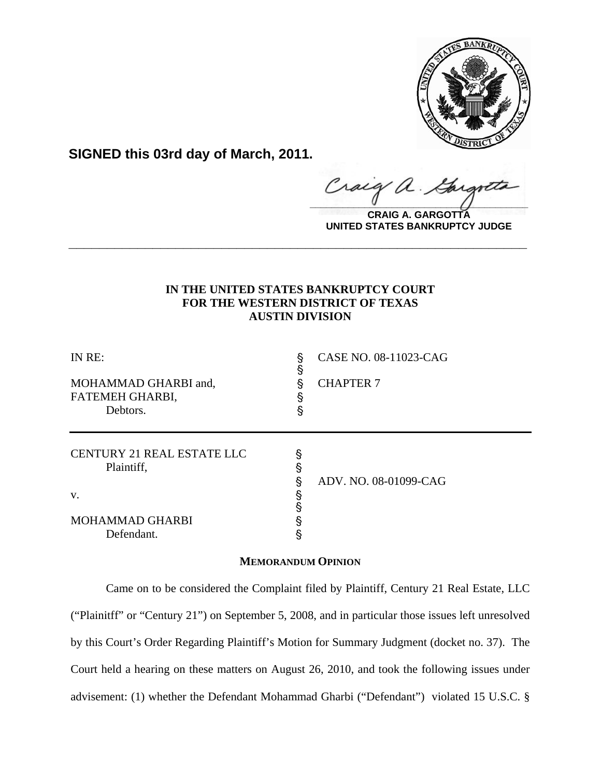

**SIGNED this 03rd day of March, 2011.**

raig  $\frac{1}{2}$ 

**CRAIG A. GARGOTTA UNITED STATES BANKRUPTCY JUDGE**

# **IN THE UNITED STATES BANKRUPTCY COURT FOR THE WESTERN DISTRICT OF TEXAS AUSTIN DIVISION**

**\_\_\_\_\_\_\_\_\_\_\_\_\_\_\_\_\_\_\_\_\_\_\_\_\_\_\_\_\_\_\_\_\_\_\_\_\_\_\_\_\_\_\_\_\_\_\_\_\_\_\_\_\_\_\_\_\_\_\_\_**

| IN RE:<br>MOHAMMAD GHARBI and,<br>FATEMEH GHARBI,<br>Debtors. | §<br>§<br>ş<br>ş<br>ş | CASE NO. 08-11023-CAG<br><b>CHAPTER 7</b> |
|---------------------------------------------------------------|-----------------------|-------------------------------------------|
| <b>CENTURY 21 REAL ESTATE LLC</b><br>Plaintiff,<br>V.         | §<br>§<br>§           | ADV. NO. 08-01099-CAG                     |
| <b>MOHAMMAD GHARBI</b><br>Defendant.                          | §                     |                                           |

## **MEMORANDUM OPINION**

 Came on to be considered the Complaint filed by Plaintiff, Century 21 Real Estate, LLC ("Plainitff" or "Century 21") on September 5, 2008, and in particular those issues left unresolved by this Court's Order Regarding Plaintiff's Motion for Summary Judgment (docket no. 37). The Court held a hearing on these matters on August 26, 2010, and took the following issues under advisement: (1) whether the Defendant Mohammad Gharbi ("Defendant") violated 15 U.S.C. §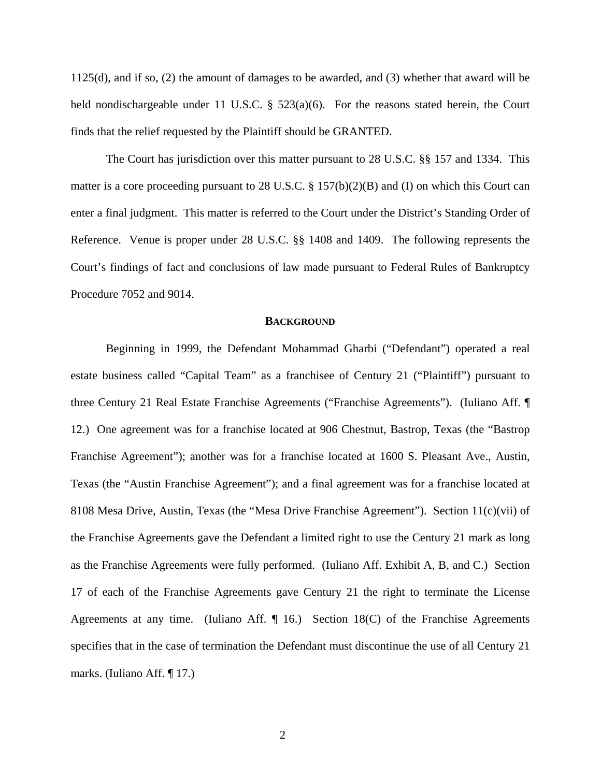1125(d), and if so, (2) the amount of damages to be awarded, and (3) whether that award will be held nondischargeable under 11 U.S.C.  $\S$  523(a)(6). For the reasons stated herein, the Court finds that the relief requested by the Plaintiff should be GRANTED.

The Court has jurisdiction over this matter pursuant to 28 U.S.C. §§ 157 and 1334. This matter is a core proceeding pursuant to 28 U.S.C. § 157(b)(2)(B) and (I) on which this Court can enter a final judgment. This matter is referred to the Court under the District's Standing Order of Reference. Venue is proper under 28 U.S.C. §§ 1408 and 1409. The following represents the Court's findings of fact and conclusions of law made pursuant to Federal Rules of Bankruptcy Procedure 7052 and 9014.

#### **BACKGROUND**

Beginning in 1999, the Defendant Mohammad Gharbi ("Defendant") operated a real estate business called "Capital Team" as a franchisee of Century 21 ("Plaintiff") pursuant to three Century 21 Real Estate Franchise Agreements ("Franchise Agreements"). (Iuliano Aff. ¶ 12.) One agreement was for a franchise located at 906 Chestnut, Bastrop, Texas (the "Bastrop Franchise Agreement"); another was for a franchise located at 1600 S. Pleasant Ave., Austin, Texas (the "Austin Franchise Agreement"); and a final agreement was for a franchise located at 8108 Mesa Drive, Austin, Texas (the "Mesa Drive Franchise Agreement"). Section 11(c)(vii) of the Franchise Agreements gave the Defendant a limited right to use the Century 21 mark as long as the Franchise Agreements were fully performed. (Iuliano Aff. Exhibit A, B, and C.) Section 17 of each of the Franchise Agreements gave Century 21 the right to terminate the License Agreements at any time. (Iuliano Aff.  $\P$  16.) Section 18(C) of the Franchise Agreements specifies that in the case of termination the Defendant must discontinue the use of all Century 21 marks. (Iuliano Aff. ¶ 17.)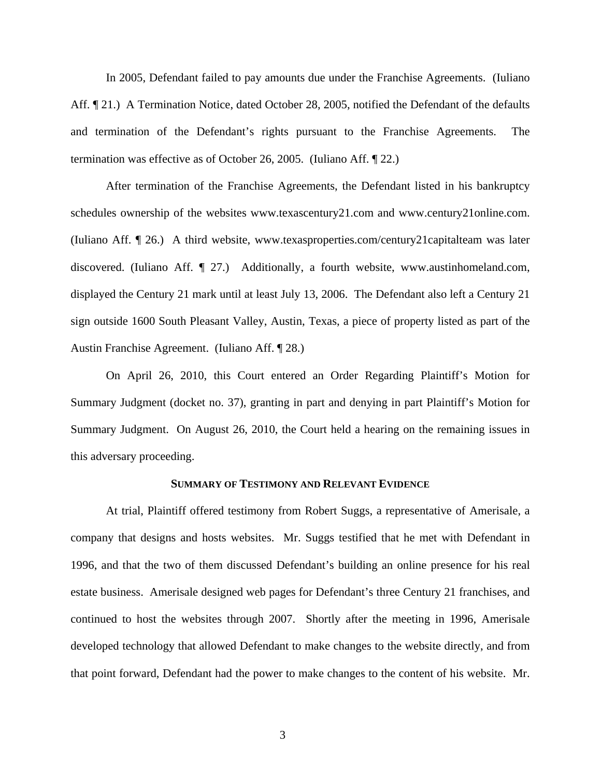In 2005, Defendant failed to pay amounts due under the Franchise Agreements. (Iuliano Aff.  $\llbracket 21.$ ) A Termination Notice, dated October 28, 2005, notified the Defendant of the defaults and termination of the Defendant's rights pursuant to the Franchise Agreements. The termination was effective as of October 26, 2005. (Iuliano Aff. ¶ 22.)

 After termination of the Franchise Agreements, the Defendant listed in his bankruptcy schedules ownership of the websites www.texascentury21.com and www.century21online.com. (Iuliano Aff. ¶ 26.) A third website, www.texasproperties.com/century21capitalteam was later discovered. (Iuliano Aff. ¶ 27.) Additionally, a fourth website, www.austinhomeland.com, displayed the Century 21 mark until at least July 13, 2006. The Defendant also left a Century 21 sign outside 1600 South Pleasant Valley, Austin, Texas, a piece of property listed as part of the Austin Franchise Agreement. (Iuliano Aff. ¶ 28.)

 On April 26, 2010, this Court entered an Order Regarding Plaintiff's Motion for Summary Judgment (docket no. 37), granting in part and denying in part Plaintiff's Motion for Summary Judgment. On August 26, 2010, the Court held a hearing on the remaining issues in this adversary proceeding.

### **SUMMARY OF TESTIMONY AND RELEVANT EVIDENCE**

At trial, Plaintiff offered testimony from Robert Suggs, a representative of Amerisale, a company that designs and hosts websites. Mr. Suggs testified that he met with Defendant in 1996, and that the two of them discussed Defendant's building an online presence for his real estate business. Amerisale designed web pages for Defendant's three Century 21 franchises, and continued to host the websites through 2007. Shortly after the meeting in 1996, Amerisale developed technology that allowed Defendant to make changes to the website directly, and from that point forward, Defendant had the power to make changes to the content of his website. Mr.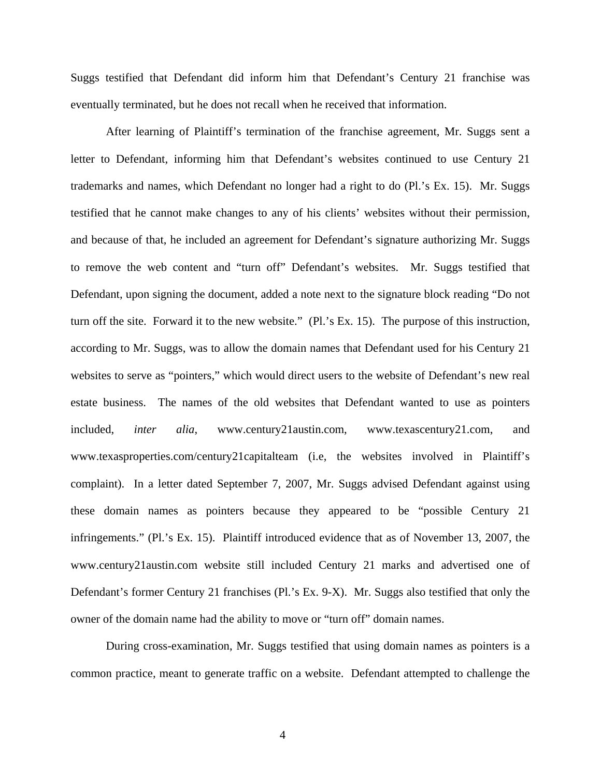Suggs testified that Defendant did inform him that Defendant's Century 21 franchise was eventually terminated, but he does not recall when he received that information.

After learning of Plaintiff's termination of the franchise agreement, Mr. Suggs sent a letter to Defendant, informing him that Defendant's websites continued to use Century 21 trademarks and names, which Defendant no longer had a right to do (Pl.'s Ex. 15). Mr. Suggs testified that he cannot make changes to any of his clients' websites without their permission, and because of that, he included an agreement for Defendant's signature authorizing Mr. Suggs to remove the web content and "turn off" Defendant's websites. Mr. Suggs testified that Defendant, upon signing the document, added a note next to the signature block reading "Do not turn off the site. Forward it to the new website." (Pl.'s Ex. 15). The purpose of this instruction, according to Mr. Suggs, was to allow the domain names that Defendant used for his Century 21 websites to serve as "pointers," which would direct users to the website of Defendant's new real estate business. The names of the old websites that Defendant wanted to use as pointers included, *inter alia*, www.century21austin.com, www.texascentury21.com, and www.texasproperties.com/century21capitalteam (i.e, the websites involved in Plaintiff's complaint). In a letter dated September 7, 2007, Mr. Suggs advised Defendant against using these domain names as pointers because they appeared to be "possible Century 21 infringements." (Pl.'s Ex. 15). Plaintiff introduced evidence that as of November 13, 2007, the www.century21austin.com website still included Century 21 marks and advertised one of Defendant's former Century 21 franchises (Pl.'s Ex. 9-X). Mr. Suggs also testified that only the owner of the domain name had the ability to move or "turn off" domain names.

During cross-examination, Mr. Suggs testified that using domain names as pointers is a common practice, meant to generate traffic on a website. Defendant attempted to challenge the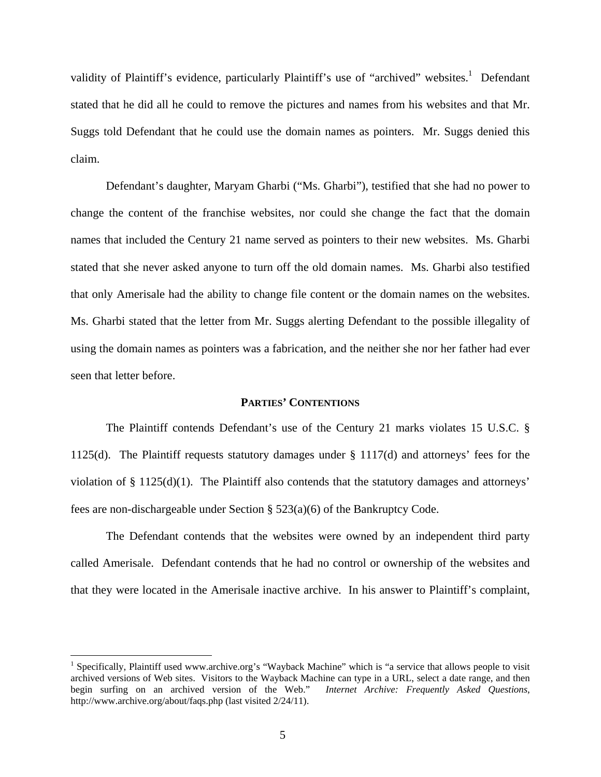validity of Plaintiff's evidence, particularly Plaintiff's use of "archived" websites.<sup>1</sup> Defendant stated that he did all he could to remove the pictures and names from his websites and that Mr. Suggs told Defendant that he could use the domain names as pointers. Mr. Suggs denied this claim.

Defendant's daughter, Maryam Gharbi ("Ms. Gharbi"), testified that she had no power to change the content of the franchise websites, nor could she change the fact that the domain names that included the Century 21 name served as pointers to their new websites. Ms. Gharbi stated that she never asked anyone to turn off the old domain names. Ms. Gharbi also testified that only Amerisale had the ability to change file content or the domain names on the websites. Ms. Gharbi stated that the letter from Mr. Suggs alerting Defendant to the possible illegality of using the domain names as pointers was a fabrication, and the neither she nor her father had ever seen that letter before.

### **PARTIES' CONTENTIONS**

The Plaintiff contends Defendant's use of the Century 21 marks violates 15 U.S.C. § 1125(d). The Plaintiff requests statutory damages under § 1117(d) and attorneys' fees for the violation of § 1125(d)(1). The Plaintiff also contends that the statutory damages and attorneys' fees are non-dischargeable under Section § 523(a)(6) of the Bankruptcy Code.

The Defendant contends that the websites were owned by an independent third party called Amerisale. Defendant contends that he had no control or ownership of the websites and that they were located in the Amerisale inactive archive. In his answer to Plaintiff's complaint,

 $\overline{a}$ 

<sup>&</sup>lt;sup>1</sup> Specifically, Plaintiff used www.archive.org's "Wayback Machine" which is "a service that allows people to visit archived versions of Web sites. Visitors to the Wayback Machine can type in a URL, select a date range, and then begin surfing on an archived version of the Web." *Internet Archive: Frequently Asked Questions*, http://www.archive.org/about/faqs.php (last visited 2/24/11).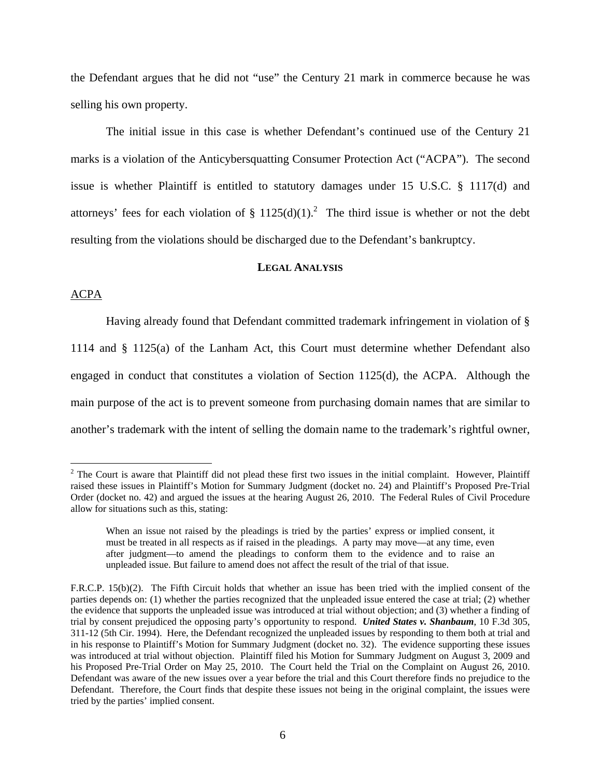the Defendant argues that he did not "use" the Century 21 mark in commerce because he was selling his own property.

The initial issue in this case is whether Defendant's continued use of the Century 21 marks is a violation of the Anticybersquatting Consumer Protection Act ("ACPA"). The second issue is whether Plaintiff is entitled to statutory damages under 15 U.S.C. § 1117(d) and attorneys' fees for each violation of  $\S 1125(d)(1)$ .<sup>2</sup> The third issue is whether or not the debt resulting from the violations should be discharged due to the Defendant's bankruptcy.

### **LEGAL ANALYSIS**

### ACPA

1

Having already found that Defendant committed trademark infringement in violation of § 1114 and § 1125(a) of the Lanham Act, this Court must determine whether Defendant also engaged in conduct that constitutes a violation of Section 1125(d), the ACPA. Although the main purpose of the act is to prevent someone from purchasing domain names that are similar to another's trademark with the intent of selling the domain name to the trademark's rightful owner,

 $2^2$  The Court is aware that Plaintiff did not plead these first two issues in the initial complaint. However, Plaintiff raised these issues in Plaintiff's Motion for Summary Judgment (docket no. 24) and Plaintiff's Proposed Pre-Trial Order (docket no. 42) and argued the issues at the hearing August 26, 2010. The Federal Rules of Civil Procedure allow for situations such as this, stating:

When an issue not raised by the pleadings is tried by the parties' express or implied consent, it must be treated in all respects as if raised in the pleadings. A party may move—at any time, even after judgment—to amend the pleadings to conform them to the evidence and to raise an unpleaded issue. But failure to amend does not affect the result of the trial of that issue.

F.R.C.P. 15(b)(2). The Fifth Circuit holds that whether an issue has been tried with the implied consent of the parties depends on: (1) whether the parties recognized that the unpleaded issue entered the case at trial; (2) whether the evidence that supports the unpleaded issue was introduced at trial without objection; and (3) whether a finding of trial by consent prejudiced the opposing party's opportunity to respond. *United States v. Shanbaum*, 10 F.3d 305, 311-12 (5th Cir. 1994). Here, the Defendant recognized the unpleaded issues by responding to them both at trial and in his response to Plaintiff's Motion for Summary Judgment (docket no. 32). The evidence supporting these issues was introduced at trial without objection. Plaintiff filed his Motion for Summary Judgment on August 3, 2009 and his Proposed Pre-Trial Order on May 25, 2010. The Court held the Trial on the Complaint on August 26, 2010. Defendant was aware of the new issues over a year before the trial and this Court therefore finds no prejudice to the Defendant. Therefore, the Court finds that despite these issues not being in the original complaint, the issues were tried by the parties' implied consent.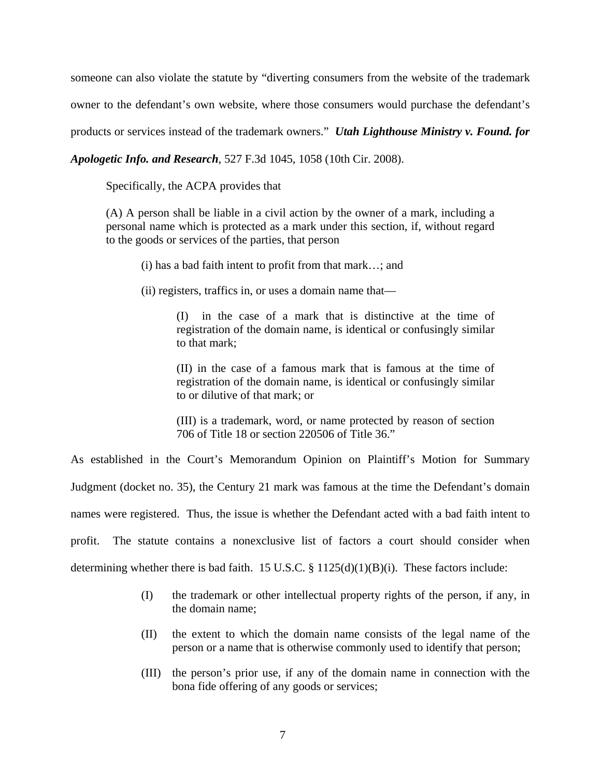someone can also violate the statute by "diverting consumers from the website of the trademark owner to the defendant's own website, where those consumers would purchase the defendant's products or services instead of the trademark owners." *Utah Lighthouse Ministry v. Found. for* 

*Apologetic Info. and Research*, 527 F.3d 1045, 1058 (10th Cir. 2008).

Specifically, the ACPA provides that

(A) A person shall be liable in a civil action by the owner of a mark, including a personal name which is protected as a mark under this section, if, without regard to the goods or services of the parties, that person

(i) has a bad faith intent to profit from that mark…; and

(ii) registers, traffics in, or uses a domain name that—

(I) in the case of a mark that is distinctive at the time of registration of the domain name, is identical or confusingly similar to that mark;

(II) in the case of a famous mark that is famous at the time of registration of the domain name, is identical or confusingly similar to or dilutive of that mark; or

(III) is a trademark, word, or name protected by reason of section 706 of Title 18 or section 220506 of Title 36."

As established in the Court's Memorandum Opinion on Plaintiff's Motion for Summary

Judgment (docket no. 35), the Century 21 mark was famous at the time the Defendant's domain

names were registered. Thus, the issue is whether the Defendant acted with a bad faith intent to

profit. The statute contains a nonexclusive list of factors a court should consider when

determining whether there is bad faith. 15 U.S.C. § 1125(d)(1)(B)(i). These factors include:

- (I) the trademark or other intellectual property rights of the person, if any, in the domain name;
- (II) the extent to which the domain name consists of the legal name of the person or a name that is otherwise commonly used to identify that person;
- (III) the person's prior use, if any of the domain name in connection with the bona fide offering of any goods or services;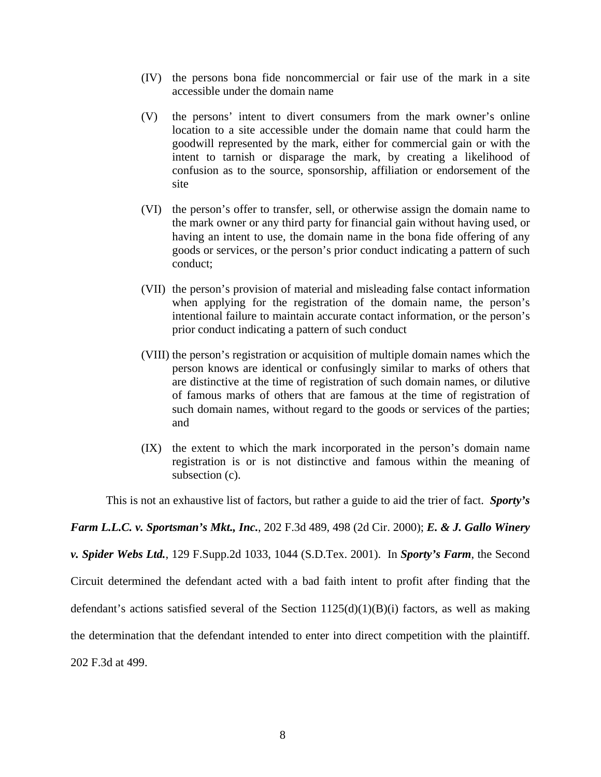- (IV) the persons bona fide noncommercial or fair use of the mark in a site accessible under the domain name
- (V) the persons' intent to divert consumers from the mark owner's online location to a site accessible under the domain name that could harm the goodwill represented by the mark, either for commercial gain or with the intent to tarnish or disparage the mark, by creating a likelihood of confusion as to the source, sponsorship, affiliation or endorsement of the site
- (VI) the person's offer to transfer, sell, or otherwise assign the domain name to the mark owner or any third party for financial gain without having used, or having an intent to use, the domain name in the bona fide offering of any goods or services, or the person's prior conduct indicating a pattern of such conduct;
- (VII) the person's provision of material and misleading false contact information when applying for the registration of the domain name, the person's intentional failure to maintain accurate contact information, or the person's prior conduct indicating a pattern of such conduct
- (VIII) the person's registration or acquisition of multiple domain names which the person knows are identical or confusingly similar to marks of others that are distinctive at the time of registration of such domain names, or dilutive of famous marks of others that are famous at the time of registration of such domain names, without regard to the goods or services of the parties; and
- (IX) the extent to which the mark incorporated in the person's domain name registration is or is not distinctive and famous within the meaning of subsection (c).

This is not an exhaustive list of factors, but rather a guide to aid the trier of fact. *Sporty's* 

*Farm L.L.C. v. Sportsman's Mkt., Inc.*, 202 F.3d 489, 498 (2d Cir. 2000); *E. & J. Gallo Winery* 

*v. Spider Webs Ltd.*, 129 F.Supp.2d 1033, 1044 (S.D.Tex. 2001). In *Sporty's Farm*, the Second

Circuit determined the defendant acted with a bad faith intent to profit after finding that the

defendant's actions satisfied several of the Section  $1125(d)(1)(B)(i)$  factors, as well as making

the determination that the defendant intended to enter into direct competition with the plaintiff.

202 F.3d at 499.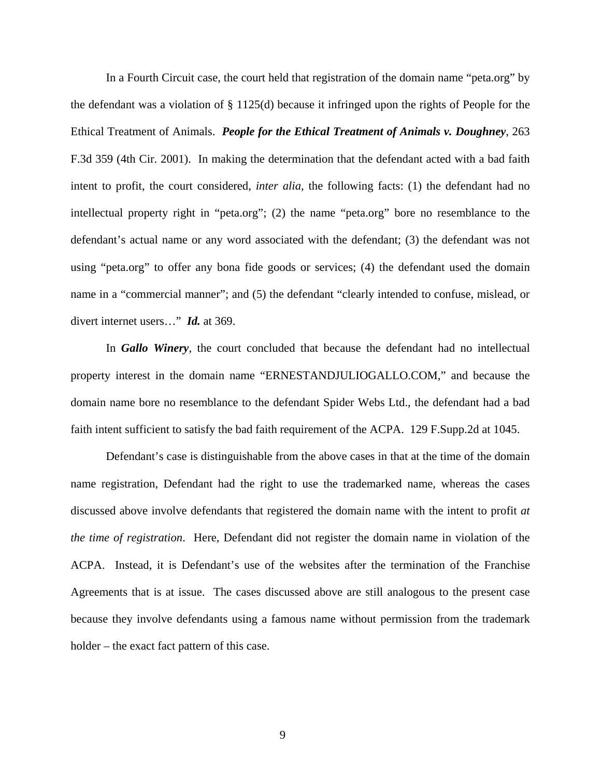In a Fourth Circuit case, the court held that registration of the domain name "peta.org" by the defendant was a violation of § 1125(d) because it infringed upon the rights of People for the Ethical Treatment of Animals. *People for the Ethical Treatment of Animals v. Doughney*, 263 F.3d 359 (4th Cir. 2001). In making the determination that the defendant acted with a bad faith intent to profit, the court considered, *inter alia*, the following facts: (1) the defendant had no intellectual property right in "peta.org"; (2) the name "peta.org" bore no resemblance to the defendant's actual name or any word associated with the defendant; (3) the defendant was not using "peta.org" to offer any bona fide goods or services; (4) the defendant used the domain name in a "commercial manner"; and (5) the defendant "clearly intended to confuse, mislead, or divert internet users…" *Id.* at 369.

In *Gallo Winery*, the court concluded that because the defendant had no intellectual property interest in the domain name "ERNESTANDJULIOGALLO.COM," and because the domain name bore no resemblance to the defendant Spider Webs Ltd., the defendant had a bad faith intent sufficient to satisfy the bad faith requirement of the ACPA. 129 F.Supp.2d at 1045.

Defendant's case is distinguishable from the above cases in that at the time of the domain name registration, Defendant had the right to use the trademarked name, whereas the cases discussed above involve defendants that registered the domain name with the intent to profit *at the time of registration*. Here, Defendant did not register the domain name in violation of the ACPA. Instead, it is Defendant's use of the websites after the termination of the Franchise Agreements that is at issue. The cases discussed above are still analogous to the present case because they involve defendants using a famous name without permission from the trademark holder – the exact fact pattern of this case.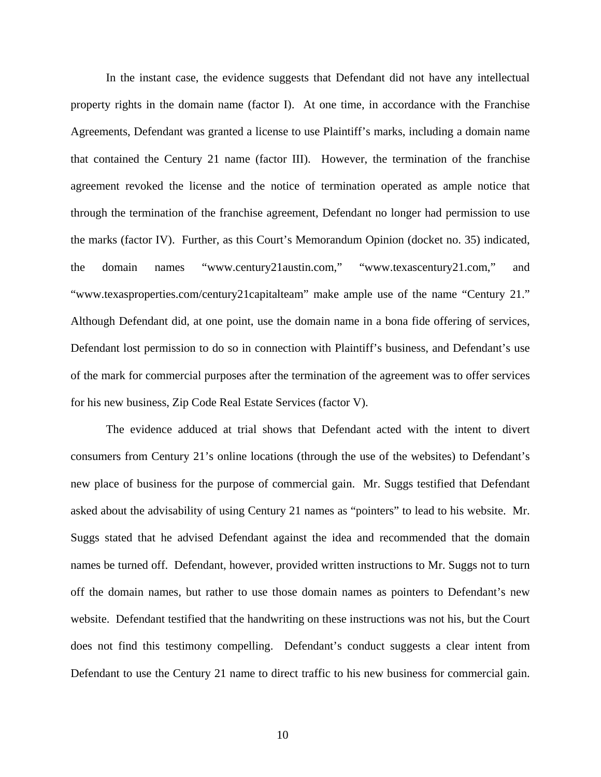In the instant case, the evidence suggests that Defendant did not have any intellectual property rights in the domain name (factor I). At one time, in accordance with the Franchise Agreements, Defendant was granted a license to use Plaintiff's marks, including a domain name that contained the Century 21 name (factor III). However, the termination of the franchise agreement revoked the license and the notice of termination operated as ample notice that through the termination of the franchise agreement, Defendant no longer had permission to use the marks (factor IV). Further, as this Court's Memorandum Opinion (docket no. 35) indicated, the domain names "www.century21austin.com," "www.texascentury21.com," and "www.texasproperties.com/century21capitalteam" make ample use of the name "Century 21." Although Defendant did, at one point, use the domain name in a bona fide offering of services, Defendant lost permission to do so in connection with Plaintiff's business, and Defendant's use of the mark for commercial purposes after the termination of the agreement was to offer services for his new business, Zip Code Real Estate Services (factor V).

The evidence adduced at trial shows that Defendant acted with the intent to divert consumers from Century 21's online locations (through the use of the websites) to Defendant's new place of business for the purpose of commercial gain. Mr. Suggs testified that Defendant asked about the advisability of using Century 21 names as "pointers" to lead to his website. Mr. Suggs stated that he advised Defendant against the idea and recommended that the domain names be turned off. Defendant, however, provided written instructions to Mr. Suggs not to turn off the domain names, but rather to use those domain names as pointers to Defendant's new website. Defendant testified that the handwriting on these instructions was not his, but the Court does not find this testimony compelling. Defendant's conduct suggests a clear intent from Defendant to use the Century 21 name to direct traffic to his new business for commercial gain.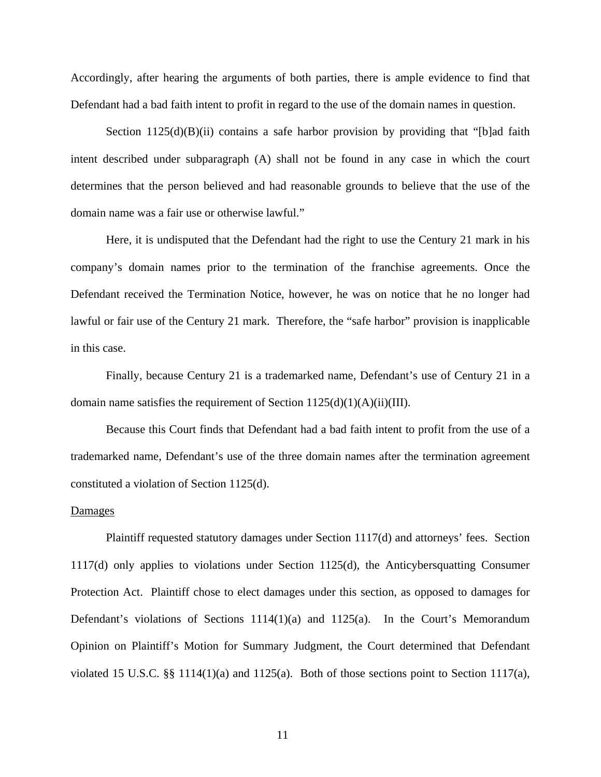Accordingly, after hearing the arguments of both parties, there is ample evidence to find that Defendant had a bad faith intent to profit in regard to the use of the domain names in question.

Section  $1125(d)(B)(ii)$  contains a safe harbor provision by providing that "[b]ad faith intent described under subparagraph (A) shall not be found in any case in which the court determines that the person believed and had reasonable grounds to believe that the use of the domain name was a fair use or otherwise lawful."

Here, it is undisputed that the Defendant had the right to use the Century 21 mark in his company's domain names prior to the termination of the franchise agreements. Once the Defendant received the Termination Notice, however, he was on notice that he no longer had lawful or fair use of the Century 21 mark. Therefore, the "safe harbor" provision is inapplicable in this case.

Finally, because Century 21 is a trademarked name, Defendant's use of Century 21 in a domain name satisfies the requirement of Section  $1125(d)(1)(A)(ii)(III)$ .

Because this Court finds that Defendant had a bad faith intent to profit from the use of a trademarked name, Defendant's use of the three domain names after the termination agreement constituted a violation of Section 1125(d).

#### Damages

Plaintiff requested statutory damages under Section 1117(d) and attorneys' fees. Section 1117(d) only applies to violations under Section 1125(d), the Anticybersquatting Consumer Protection Act. Plaintiff chose to elect damages under this section, as opposed to damages for Defendant's violations of Sections  $1114(1)(a)$  and  $1125(a)$ . In the Court's Memorandum Opinion on Plaintiff's Motion for Summary Judgment, the Court determined that Defendant violated 15 U.S.C. §§ 1114(1)(a) and 1125(a). Both of those sections point to Section 1117(a),

11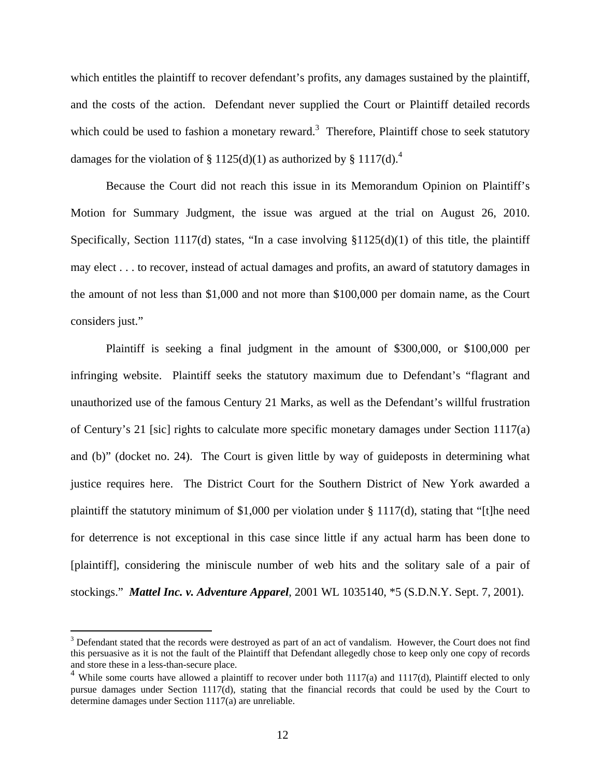which entitles the plaintiff to recover defendant's profits, any damages sustained by the plaintiff, and the costs of the action. Defendant never supplied the Court or Plaintiff detailed records which could be used to fashion a monetary reward.<sup>3</sup> Therefore, Plaintiff chose to seek statutory damages for the violation of § 1125(d)(1) as authorized by § 1117(d).<sup>4</sup>

Because the Court did not reach this issue in its Memorandum Opinion on Plaintiff's Motion for Summary Judgment, the issue was argued at the trial on August 26, 2010. Specifically, Section 1117(d) states, "In a case involving  $$1125(d)(1)$  of this title, the plaintiff may elect . . . to recover, instead of actual damages and profits, an award of statutory damages in the amount of not less than \$1,000 and not more than \$100,000 per domain name, as the Court considers just."

Plaintiff is seeking a final judgment in the amount of \$300,000, or \$100,000 per infringing website. Plaintiff seeks the statutory maximum due to Defendant's "flagrant and unauthorized use of the famous Century 21 Marks, as well as the Defendant's willful frustration of Century's 21 [sic] rights to calculate more specific monetary damages under Section 1117(a) and (b)" (docket no. 24). The Court is given little by way of guideposts in determining what justice requires here. The District Court for the Southern District of New York awarded a plaintiff the statutory minimum of \$1,000 per violation under § 1117(d), stating that "[t]he need for deterrence is not exceptional in this case since little if any actual harm has been done to [plaintiff], considering the miniscule number of web hits and the solitary sale of a pair of stockings." *Mattel Inc. v. Adventure Apparel*, 2001 WL 1035140, \*5 (S.D.N.Y. Sept. 7, 2001).

 $\overline{a}$ 

 $3$  Defendant stated that the records were destroyed as part of an act of vandalism. However, the Court does not find this persuasive as it is not the fault of the Plaintiff that Defendant allegedly chose to keep only one copy of records and store these in a less-than-secure place.

<sup>&</sup>lt;sup>4</sup> While some courts have allowed a plaintiff to recover under both 1117(a) and 1117(d), Plaintiff elected to only pursue damages under Section 1117(d), stating that the financial records that could be used by the Court to determine damages under Section 1117(a) are unreliable.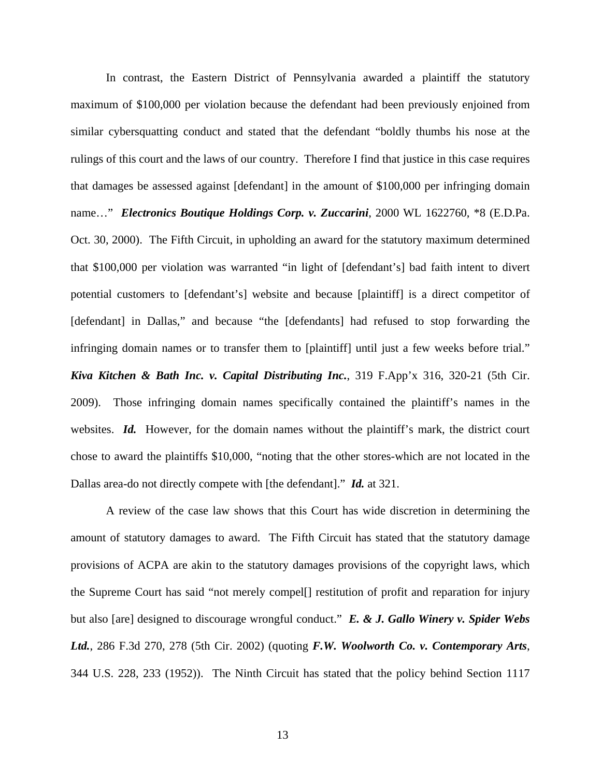In contrast, the Eastern District of Pennsylvania awarded a plaintiff the statutory maximum of \$100,000 per violation because the defendant had been previously enjoined from similar cybersquatting conduct and stated that the defendant "boldly thumbs his nose at the rulings of this court and the laws of our country. Therefore I find that justice in this case requires that damages be assessed against [defendant] in the amount of \$100,000 per infringing domain name…" *Electronics Boutique Holdings Corp. v. Zuccarini*, 2000 WL 1622760, \*8 (E.D.Pa. Oct. 30, 2000). The Fifth Circuit, in upholding an award for the statutory maximum determined that \$100,000 per violation was warranted "in light of [defendant's] bad faith intent to divert potential customers to [defendant's] website and because [plaintiff] is a direct competitor of [defendant] in Dallas," and because "the [defendants] had refused to stop forwarding the infringing domain names or to transfer them to [plaintiff] until just a few weeks before trial." *Kiva Kitchen & Bath Inc. v. Capital Distributing Inc.*, 319 F.App'x 316, 320-21 (5th Cir. 2009). Those infringing domain names specifically contained the plaintiff's names in the websites. *Id.* However, for the domain names without the plaintiff's mark, the district court chose to award the plaintiffs \$10,000, "noting that the other stores-which are not located in the Dallas area-do not directly compete with [the defendant]." *Id.* at 321.

A review of the case law shows that this Court has wide discretion in determining the amount of statutory damages to award. The Fifth Circuit has stated that the statutory damage provisions of ACPA are akin to the statutory damages provisions of the copyright laws, which the Supreme Court has said "not merely compel[] restitution of profit and reparation for injury but also [are] designed to discourage wrongful conduct." *E. & J. Gallo Winery v. Spider Webs Ltd.*, 286 F.3d 270, 278 (5th Cir. 2002) (quoting *F.W. Woolworth Co. v. Contemporary Arts*, 344 U.S. 228, 233 (1952)). The Ninth Circuit has stated that the policy behind Section 1117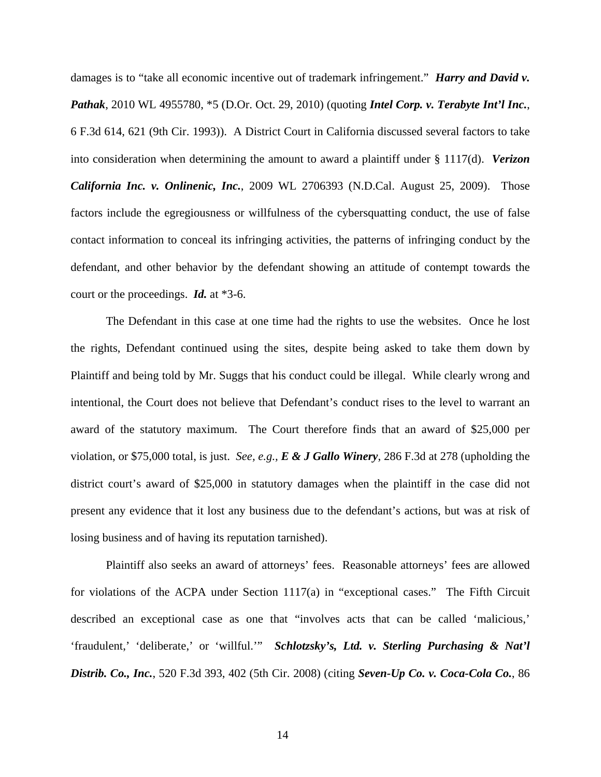damages is to "take all economic incentive out of trademark infringement." *Harry and David v. Pathak*, 2010 WL 4955780, \*5 (D.Or. Oct. 29, 2010) (quoting *Intel Corp. v. Terabyte Int'l Inc.*, 6 F.3d 614, 621 (9th Cir. 1993)). A District Court in California discussed several factors to take into consideration when determining the amount to award a plaintiff under § 1117(d). *Verizon California Inc. v. Onlinenic, Inc.*, 2009 WL 2706393 (N.D.Cal. August 25, 2009). Those factors include the egregiousness or willfulness of the cybersquatting conduct, the use of false contact information to conceal its infringing activities, the patterns of infringing conduct by the defendant, and other behavior by the defendant showing an attitude of contempt towards the court or the proceedings. *Id.* at \*3-6.

The Defendant in this case at one time had the rights to use the websites. Once he lost the rights, Defendant continued using the sites, despite being asked to take them down by Plaintiff and being told by Mr. Suggs that his conduct could be illegal. While clearly wrong and intentional, the Court does not believe that Defendant's conduct rises to the level to warrant an award of the statutory maximum. The Court therefore finds that an award of \$25,000 per violation, or \$75,000 total, is just. *See, e.g., E & J Gallo Winery*, 286 F.3d at 278 (upholding the district court's award of \$25,000 in statutory damages when the plaintiff in the case did not present any evidence that it lost any business due to the defendant's actions, but was at risk of losing business and of having its reputation tarnished).

Plaintiff also seeks an award of attorneys' fees. Reasonable attorneys' fees are allowed for violations of the ACPA under Section 1117(a) in "exceptional cases." The Fifth Circuit described an exceptional case as one that "involves acts that can be called 'malicious,' 'fraudulent,' 'deliberate,' or 'willful.'" *Schlotzsky's, Ltd. v. Sterling Purchasing & Nat'l Distrib. Co., Inc.*, 520 F.3d 393, 402 (5th Cir. 2008) (citing *Seven-Up Co. v. Coca-Cola Co.*, 86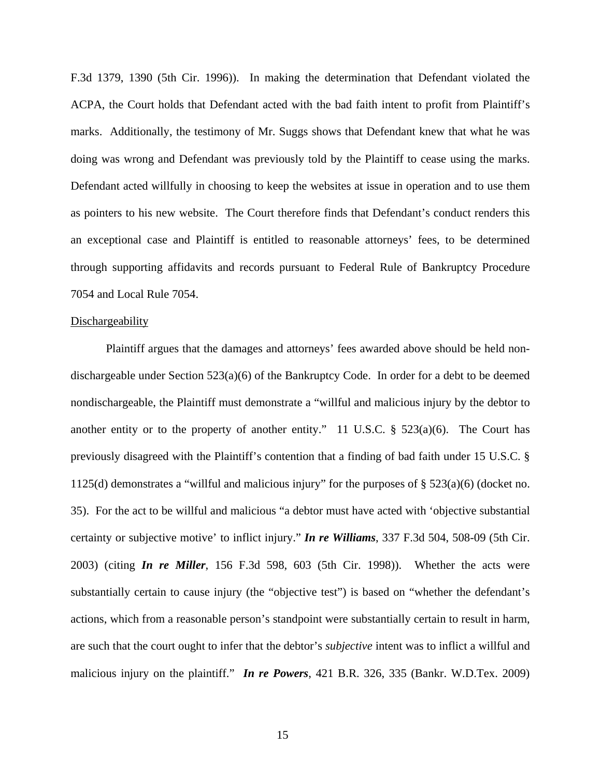F.3d 1379, 1390 (5th Cir. 1996)). In making the determination that Defendant violated the ACPA, the Court holds that Defendant acted with the bad faith intent to profit from Plaintiff's marks. Additionally, the testimony of Mr. Suggs shows that Defendant knew that what he was doing was wrong and Defendant was previously told by the Plaintiff to cease using the marks. Defendant acted willfully in choosing to keep the websites at issue in operation and to use them as pointers to his new website. The Court therefore finds that Defendant's conduct renders this an exceptional case and Plaintiff is entitled to reasonable attorneys' fees, to be determined through supporting affidavits and records pursuant to Federal Rule of Bankruptcy Procedure 7054 and Local Rule 7054.

### **Dischargeability**

Plaintiff argues that the damages and attorneys' fees awarded above should be held nondischargeable under Section  $523(a)(6)$  of the Bankruptcy Code. In order for a debt to be deemed nondischargeable, the Plaintiff must demonstrate a "willful and malicious injury by the debtor to another entity or to the property of another entity." 11 U.S.C.  $\S$  523(a)(6). The Court has previously disagreed with the Plaintiff's contention that a finding of bad faith under 15 U.S.C. § 1125(d) demonstrates a "willful and malicious injury" for the purposes of § 523(a)(6) (docket no. 35). For the act to be willful and malicious "a debtor must have acted with 'objective substantial certainty or subjective motive' to inflict injury." *In re Williams*, 337 F.3d 504, 508-09 (5th Cir. 2003) (citing *In re Miller*, 156 F.3d 598, 603 (5th Cir. 1998)). Whether the acts were substantially certain to cause injury (the "objective test") is based on "whether the defendant's actions, which from a reasonable person's standpoint were substantially certain to result in harm, are such that the court ought to infer that the debtor's *subjective* intent was to inflict a willful and malicious injury on the plaintiff." *In re Powers*, 421 B.R. 326, 335 (Bankr. W.D.Tex. 2009)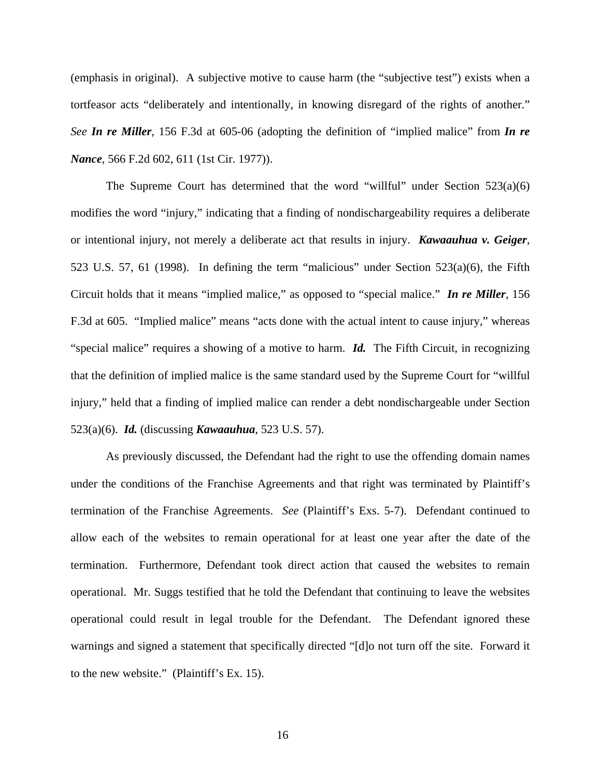(emphasis in original). A subjective motive to cause harm (the "subjective test") exists when a tortfeasor acts "deliberately and intentionally, in knowing disregard of the rights of another." *See In re Miller*, 156 F.3d at 605-06 (adopting the definition of "implied malice" from *In re Nance*, 566 F.2d 602, 611 (1st Cir. 1977)).

The Supreme Court has determined that the word "willful" under Section  $523(a)(6)$ modifies the word "injury," indicating that a finding of nondischargeability requires a deliberate or intentional injury, not merely a deliberate act that results in injury. *Kawaauhua v. Geiger*, 523 U.S. 57, 61 (1998). In defining the term "malicious" under Section 523(a)(6), the Fifth Circuit holds that it means "implied malice," as opposed to "special malice." *In re Miller*, 156 F.3d at 605. "Implied malice" means "acts done with the actual intent to cause injury," whereas "special malice" requires a showing of a motive to harm. *Id.* The Fifth Circuit, in recognizing that the definition of implied malice is the same standard used by the Supreme Court for "willful injury," held that a finding of implied malice can render a debt nondischargeable under Section 523(a)(6). *Id.* (discussing *Kawaauhua*, 523 U.S. 57).

As previously discussed, the Defendant had the right to use the offending domain names under the conditions of the Franchise Agreements and that right was terminated by Plaintiff's termination of the Franchise Agreements. *See* (Plaintiff's Exs. 5-7). Defendant continued to allow each of the websites to remain operational for at least one year after the date of the termination. Furthermore, Defendant took direct action that caused the websites to remain operational. Mr. Suggs testified that he told the Defendant that continuing to leave the websites operational could result in legal trouble for the Defendant. The Defendant ignored these warnings and signed a statement that specifically directed "[d]o not turn off the site. Forward it to the new website." (Plaintiff's Ex. 15).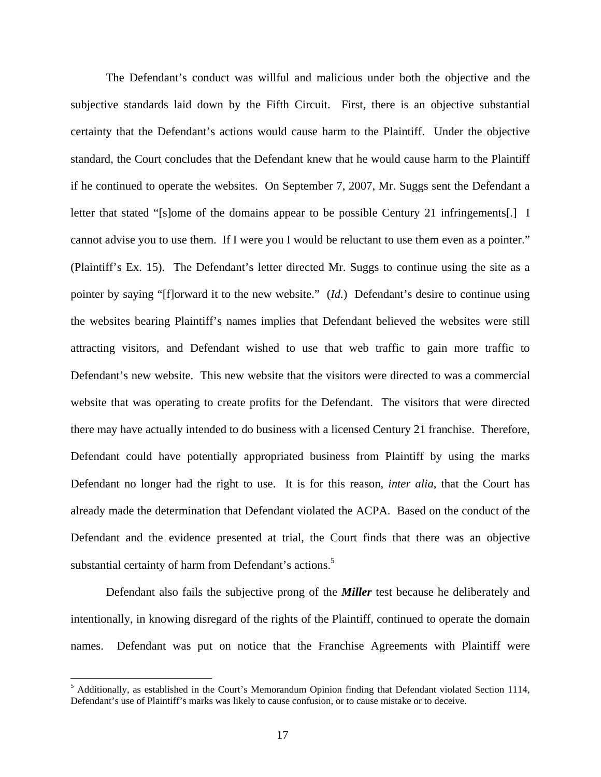The Defendant's conduct was willful and malicious under both the objective and the subjective standards laid down by the Fifth Circuit. First, there is an objective substantial certainty that the Defendant's actions would cause harm to the Plaintiff. Under the objective standard, the Court concludes that the Defendant knew that he would cause harm to the Plaintiff if he continued to operate the websites. On September 7, 2007, Mr. Suggs sent the Defendant a letter that stated "[s]ome of the domains appear to be possible Century 21 infringements[.] I cannot advise you to use them. If I were you I would be reluctant to use them even as a pointer." (Plaintiff's Ex. 15). The Defendant's letter directed Mr. Suggs to continue using the site as a pointer by saying "[f]orward it to the new website." (*Id.*) Defendant's desire to continue using the websites bearing Plaintiff's names implies that Defendant believed the websites were still attracting visitors, and Defendant wished to use that web traffic to gain more traffic to Defendant's new website. This new website that the visitors were directed to was a commercial website that was operating to create profits for the Defendant. The visitors that were directed there may have actually intended to do business with a licensed Century 21 franchise. Therefore, Defendant could have potentially appropriated business from Plaintiff by using the marks Defendant no longer had the right to use. It is for this reason, *inter alia*, that the Court has already made the determination that Defendant violated the ACPA. Based on the conduct of the Defendant and the evidence presented at trial, the Court finds that there was an objective substantial certainty of harm from Defendant's actions.<sup>5</sup>

Defendant also fails the subjective prong of the *Miller* test because he deliberately and intentionally, in knowing disregard of the rights of the Plaintiff, continued to operate the domain names. Defendant was put on notice that the Franchise Agreements with Plaintiff were

 5 Additionally, as established in the Court's Memorandum Opinion finding that Defendant violated Section 1114, Defendant's use of Plaintiff's marks was likely to cause confusion, or to cause mistake or to deceive.